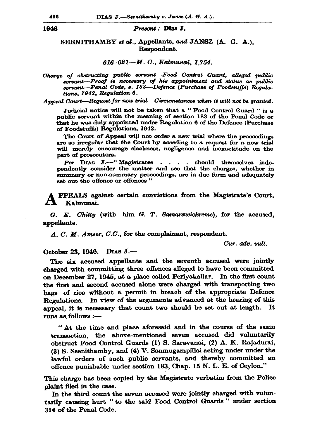## Present : Dias J.

## SEENITHAMBY et al., Appellants, and JANSZ (A. G. A.). Respondent.

## 616-621-M.C., Kalmunai, 1.754.

Charge of obstructing public servant-Food Control Guard, alleged mublic servant-Proof is necessary of his appointment and status as public servant-Penal Code, s. 183-Defence (Purchase of Foodstuffs) Regula. tions. 1942. Regulation 6.

Appeal Court—Request for new trial—Circumstances when it will not be granted.

Judicial notice will not be taken that a "Food Control Guard " is a public servant within the meaning of section 183 of the Penal Code or that he was duly appointed under Regulation 6 of the Defence (Purchase of Foodstuffs) Regulations, 1942.

The Court of Appeal will not order a new trial where the proceedings are so irregular that the Court by acceding to a request for a new trial will merely encourage slackness, negligence and inexactitude on the part of prosecutors.

Per DIAS J.--"Magistrates . . . should themselves independently consider the matter and see that the charges, whether in summary or non-summary proceedings, are in due form and adequately set out the offence or offences"

PPEALS against certain convictions from the Magistrate's Court, Kalmunai.

 $G. E. Chittu$  (with him  $G. T. Samarawickreme$ ), for the accused, appellants.

A. C. M. Ameer, C.C., for the complainant, respondent.

Cur. adv. vult.

October 23, 1946. DIAS J .--

The six accused appellants and the seventh accused were jointly charged with committing three offences alleged to have been committed on December 27, 1945, at a place called Periyakallar. In the first count the first and second accused alone were charged with transporting two bags of rice without a permit in breach of the appropriate Defence Regulations. In view of the arguments advanced at the hearing of this appeal, it is necessary that count two should be set out at length. It runs as follows :-

"At the time and place aforesaid and in the course of the same transaction, the above-mentioned seven accused did voluntarily obstruct Food Control Guards (1) S. Saravanai, (2) A. K. Rajadurai, (3) S. Seenithamby, and (4) V. Sanmugampillai acting under under the lawful orders of such public servants, and thereby committed an offence punishable under section 183, Chap. 15 N. L. E. of Ceylon."

This charge has been copied by the Magistrate verbatim from the Police plaint filed in the case.

In the third count the seven accused were jointly charged with voluntarily causing hurt " to the said Food Control Guards" under section 314 of the Penal Code.

## 1946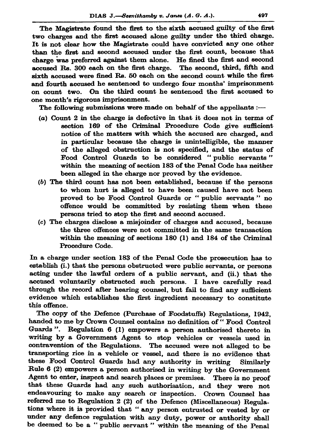The Magistrate found the first to the sixth accused guilty of the first two charges and the first accused alone guilty under the third charge. It is not clear how the Magistrate could have convicted any one other than the first and second accused under the first count, because that charge was preferred against them alone. He fined the first and second accused Rs. 300 each on the first charge. The second, third, fifth and sixth accused were fined Rs. 50 each on the second count while the first and fourth accused he sentenced to undergo four months' imprisonment on count two. On the third count he sentenced the first accused to one month's rigorous imprisonment.

The following submissions were made on behalf of the appellants :-

- (a) Count 2 in the charge is defective in that it does not in terms of section 169 of the Criminal Procedure Code give sufficient notice of the matters with which the accused are charged, and in particular because the charge is unintelligible, the manner of the alleged obstruction is not specified, and the status of Food Control Guards to be considered "public servants" within the meaning of section 183 of the Penal Code has neither been alleged in the charge nor proved by the evidence.
- (b) The third count has not been established, because if the persons to whom hurt is alleged to have been caused have not been proved to be Food Control Guards or "public servants" no offence would be committed by resisting them when these persons tried to stop the first and second accused.
- (c) The charges disclose a misjoinder of charges and accused, because the three offences were not committed in the same transaction within the meaning of sections 180 (1) and 184 of the Criminal Procedure Code.

In a charge under section 183 of the Penal Code the prosecution has to establish (i.) that the persons obstructed were public servants, or persons acting under the lawful orders of a public servant, and (ii.) that the accused voluntarily obstructed such persons. I have carefully read through the record after hearing counsel, but fail to find any sufficient evidence which establishes the first ingredient necessary to constitute this offence.

The copy of the Defence (Purchase of Foodstuffs) Regulations, 1942, handed to me by Crown Counsel contains no definition of "Food Control Guards". Regulation 6 (1) empowers a person authorised thereto in writing by a Government Agent to stop vehicles or vessels used in contravention of the Regulations. The accused were not alleged to be transporting rice in a vehicle or vessel, and there is no evidence that these Food Control Guards had any authority in writing Similarly Rule 6 (2) empowers a person authorised in writing by the Government Agent to enter, inspect and search places or premises. There is no proof that these Guards had any such authorisation, and they were not endeavouring to make any search or inspection. Crown Counsel has referred me to Regulation 2 (2) of the Defence (Miscellaneous) Regulations where it is provided that "any person entrusted or vested by or under any defence regulation with any duty, power or authority shall be deemed to be a "public servant" within the meaning of the Penal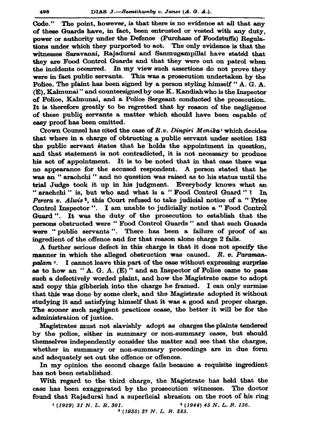The point, however, is that there is no evidence at all that any Code." of these Guards have, in fact, been entrusted or vested with any duty. power or authority under the Defence (Purchase of Foodstuffs) Regulations under which they purported to act. The only evidence is that the witnesses Saravanai, Rajadurai and Sanmugampillai have stated that they are Food Control Guards and that they were out on patrol when the incidents occurred. In my view such assertions do not prove they were in fact public servants. This was a prosecution undertaken by the Police. The plaint has been signed by a person styling himself "A. G. A. (E), Kalmunai" and countersigned by one K. Kandiah who is the Inspector of Police, Kalmunai, and a Police Sergeant conducted the prosecution. It is therefore greatly to be regretted that by reason of the negligence of these public servants a matter which should have been capable of easy proof has been omitted.

Crown Counsel has cited the case of R.v. Dingiri Menika<sup>1</sup> which decides that where in a charge of obtructing a public servant under section 183 the public servant states that he holds the appointment in question. and that statement is not contradicted, it is not necessary to produce his act of appointment. It is to be noted that in that case there was no appearance for the accused respondent. A person stated that he was an "arachchi" and no question was raised as to his status until the trial Judge took it up in his judgment. Everybody knows what an "arachchi" is, but who and what is a "Food Control Guard"? In Perera v. Alwis<sup>2</sup>, this Court refused to take judicial notice of a "Price Control Inspector". I am unable to judicially notice a "Food Control" Guard". It was the duty of the prosecution to establish that the persons obstructed were "Food Control Guards" and that such Guards were "public servants". There has been a failure of proof of an ingredient of the offence and for that reason alone charge 2 fails.

A further serious defect in this charge is that it does not specify the manner in which the alleged obstruction was caused. R. v. Paramanpalam<sup>3</sup>. I cannot leave this part of the case without expressing surprise as to how an "A. G. A. (E)" and an Inspector of Police came to pass such a defectively worded plaint, and how the Magistrate came to adopt and copy this gibberish into the charge he framed. I can only surmise that this was done by some clerk, and the Magistrate adopted it without studying it and satisfying himself that it was a good and proper charge. The sooner such negligent practices cease, the better it will be for the administration of justice.

Magistrates must not slavishly adopt as charges the plaints tendered by the police, either in summary or non-summary cases, but should themselves independently consider the matter and see that the charges, whether in summary or non-summary proceedings are in due form and adequately set out the offence or offences.

In my opinion the second charge fails because a requisite ingredient has not been established.

With regard to the third charge, the Magistrate has held that the case has been exaggerated by the prosecution witnesses. The doctor found that Rajadurai had a superficial abrasion on the root of his ring

 $(1929)$  31 N. L. R. 301.

<sup>3</sup> (1935) 37 N. L. R. 385.

 $(1944)$  45 N.L.R.136.